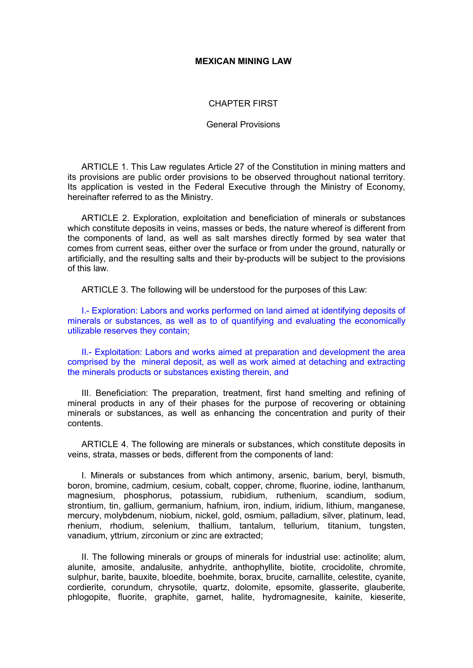### **MEXICAN MINING LAW**

### CHAPTER FIRST

#### General Provisions

ARTICLE 1. This Law regulates Article 27 of the Constitution in mining matters and its provisions are public order provisions to be observed throughout national territory. Its application is vested in the Federal Executive through the Ministry of Economy, hereinafter referred to as the Ministry.

ARTICLE 2. Exploration, exploitation and beneficiation of minerals or substances which constitute deposits in veins, masses or beds, the nature whereof is different from the components of land, as well as salt marshes directly formed by sea water that comes from current seas, either over the surface or from under the ground, naturally or artificially, and the resulting salts and their by-products will be subject to the provisions of this law.

ARTICLE 3. The following will be understood for the purposes of this Law:

I.- Exploration: Labors and works performed on land aimed at identifying deposits of minerals or substances, as well as to of quantifying and evaluating the economically utilizable reserves they contain;

II.- Exploitation: Labors and works aimed at preparation and development the area comprised by the mineral deposit, as well as work aimed at detaching and extracting the minerals products or substances existing therein, and

III. Beneficiation: The preparation, treatment, first hand smelting and refining of mineral products in any of their phases for the purpose of recovering or obtaining minerals or substances, as well as enhancing the concentration and purity of their contents.

ARTICLE 4. The following are minerals or substances, which constitute deposits in veins, strata, masses or beds, different from the components of land:

I. Minerals or substances from which antimony, arsenic, barium, beryl, bismuth, boron, bromine, cadmium, cesium, cobalt, copper, chrome, fluorine, iodine, lanthanum, magnesium, phosphorus, potassium, rubidium, ruthenium, scandium, sodium, strontium, tin, gallium, germanium, hafnium, iron, indium, iridium, lithium, manganese, mercury, molybdenum, niobium, nickel, gold, osmium, palladium, silver, platinum, lead, rhenium, rhodium, selenium, thallium, tantalum, tellurium, titanium, tungsten, vanadium, yttrium, zirconium or zinc are extracted;

II. The following minerals or groups of minerals for industrial use: actinolite; alum, alunite, amosite, andalusite, anhydrite, anthophyllite, biotite, crocidolite, chromite, sulphur, barite, bauxite, bloedite, boehmite, borax, brucite, carnallite, celestite, cyanite, cordierite, corundum, chrysotile, quartz, dolomite, epsomite, glasserite, glauberite, phlogopite, fluorite, graphite, garnet, halite, hydromagnesite, kainite, kieserite,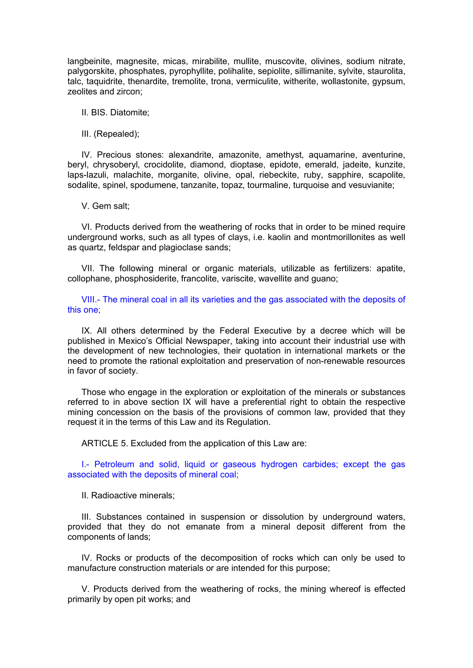langbeinite, magnesite, micas, mirabilite, mullite, muscovite, olivines, sodium nitrate, palygorskite, phosphates, pyrophyllite, polihalite, sepiolite, sillimanite, sylvite, staurolita, talc, taquidrite, thenardite, tremolite, trona, vermiculite, witherite, wollastonite, gypsum, zeolites and zircon;

### II. BIS. Diatomite;

III. (Repealed);

IV. Precious stones: alexandrite, amazonite, amethyst, aquamarine, aventurine, beryl, chrysoberyl, crocidolite, diamond, dioptase, epidote, emerald, jadeite, kunzite, laps-lazuli, malachite, morganite, olivine, opal, riebeckite, ruby, sapphire, scapolite, sodalite, spinel, spodumene, tanzanite, topaz, tourmaline, turquoise and vesuvianite;

V. Gem salt;

VI. Products derived from the weathering of rocks that in order to be mined require underground works, such as all types of clays, i.e. kaolin and montmorillonites as well as quartz, feldspar and plagioclase sands;

VII. The following mineral or organic materials, utilizable as fertilizers: apatite, collophane, phosphosiderite, francolite, variscite, wavellite and guano;

VIII.- The mineral coal in all its varieties and the gas associated with the deposits of this one;

IX. All others determined by the Federal Executive by a decree which will be published in Mexico's Official Newspaper, taking into account their industrial use with the development of new technologies, their quotation in international markets or the need to promote the rational exploitation and preservation of non-renewable resources in favor of society.

Those who engage in the exploration or exploitation of the minerals or substances referred to in above section IX will have a preferential right to obtain the respective mining concession on the basis of the provisions of common law, provided that they request it in the terms of this Law and its Regulation.

ARTICLE 5. Excluded from the application of this Law are:

I.- Petroleum and solid, liquid or gaseous hydrogen carbides; except the gas associated with the deposits of mineral coal;

II. Radioactive minerals;

III. Substances contained in suspension or dissolution by underground waters, provided that they do not emanate from a mineral deposit different from the components of lands;

IV. Rocks or products of the decomposition of rocks which can only be used to manufacture construction materials or are intended for this purpose;

V. Products derived from the weathering of rocks, the mining whereof is effected primarily by open pit works; and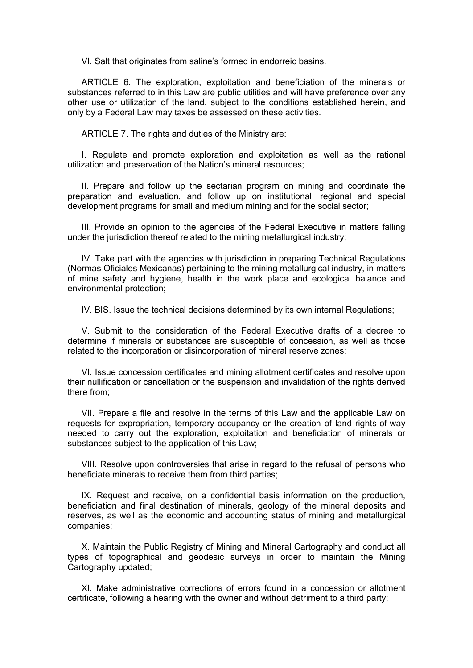VI. Salt that originates from saline's formed in endorreic basins.

ARTICLE 6. The exploration, exploitation and beneficiation of the minerals or substances referred to in this Law are public utilities and will have preference over any other use or utilization of the land, subject to the conditions established herein, and only by a Federal Law may taxes be assessed on these activities.

ARTICLE 7. The rights and duties of the Ministry are:

I. Regulate and promote exploration and exploitation as well as the rational utilization and preservation of the Nation's mineral resources;

II. Prepare and follow up the sectarian program on mining and coordinate the preparation and evaluation, and follow up on institutional, regional and special development programs for small and medium mining and for the social sector;

III. Provide an opinion to the agencies of the Federal Executive in matters falling under the jurisdiction thereof related to the mining metallurgical industry;

IV. Take part with the agencies with jurisdiction in preparing Technical Regulations (Normas Oficiales Mexicanas) pertaining to the mining metallurgical industry, in matters of mine safety and hygiene, health in the work place and ecological balance and environmental protection;

IV. BIS. Issue the technical decisions determined by its own internal Regulations;

V. Submit to the consideration of the Federal Executive drafts of a decree to determine if minerals or substances are susceptible of concession, as well as those related to the incorporation or disincorporation of mineral reserve zones;

VI. Issue concession certificates and mining allotment certificates and resolve upon their nullification or cancellation or the suspension and invalidation of the rights derived there from;

VII. Prepare a file and resolve in the terms of this Law and the applicable Law on requests for expropriation, temporary occupancy or the creation of land rights-of-way needed to carry out the exploration, exploitation and beneficiation of minerals or substances subject to the application of this Law;

VIII. Resolve upon controversies that arise in regard to the refusal of persons who beneficiate minerals to receive them from third parties;

IX. Request and receive, on a confidential basis information on the production, beneficiation and final destination of minerals, geology of the mineral deposits and reserves, as well as the economic and accounting status of mining and metallurgical companies;

X. Maintain the Public Registry of Mining and Mineral Cartography and conduct all types of topographical and geodesic surveys in order to maintain the Mining Cartography updated;

XI. Make administrative corrections of errors found in a concession or allotment certificate, following a hearing with the owner and without detriment to a third party;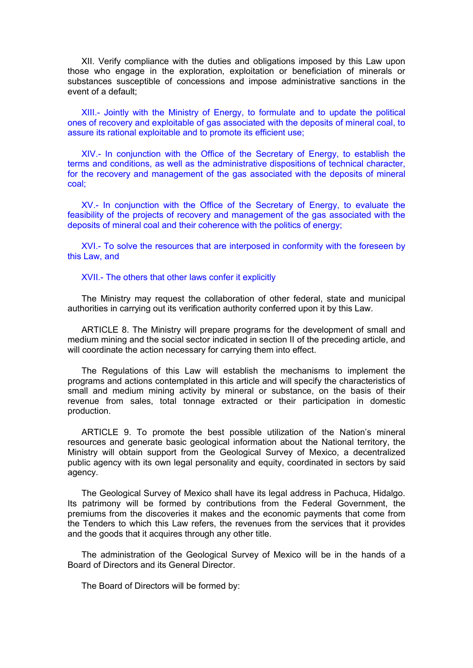XII. Verify compliance with the duties and obligations imposed by this Law upon those who engage in the exploration, exploitation or beneficiation of minerals or substances susceptible of concessions and impose administrative sanctions in the event of a default;

XIII.- Jointly with the Ministry of Energy, to formulate and to update the political ones of recovery and exploitable of gas associated with the deposits of mineral coal, to assure its rational exploitable and to promote its efficient use;

XIV.- In conjunction with the Office of the Secretary of Energy, to establish the terms and conditions, as well as the administrative dispositions of technical character, for the recovery and management of the gas associated with the deposits of mineral coal;

XV.- In conjunction with the Office of the Secretary of Energy, to evaluate the feasibility of the projects of recovery and management of the gas associated with the deposits of mineral coal and their coherence with the politics of energy;

XVI.- To solve the resources that are interposed in conformity with the foreseen by this Law, and

XVII.- The others that other laws confer it explicitly

The Ministry may request the collaboration of other federal, state and municipal authorities in carrying out its verification authority conferred upon it by this Law.

ARTICLE 8. The Ministry will prepare programs for the development of small and medium mining and the social sector indicated in section II of the preceding article, and will coordinate the action necessary for carrying them into effect.

The Regulations of this Law will establish the mechanisms to implement the programs and actions contemplated in this article and will specify the characteristics of small and medium mining activity by mineral or substance, on the basis of their revenue from sales, total tonnage extracted or their participation in domestic production.

ARTICLE 9. To promote the best possible utilization of the Nation's mineral resources and generate basic geological information about the National territory, the Ministry will obtain support from the Geological Survey of Mexico, a decentralized public agency with its own legal personality and equity, coordinated in sectors by said agency.

The Geological Survey of Mexico shall have its legal address in Pachuca, Hidalgo. Its patrimony will be formed by contributions from the Federal Government, the premiums from the discoveries it makes and the economic payments that come from the Tenders to which this Law refers, the revenues from the services that it provides and the goods that it acquires through any other title.

The administration of the Geological Survey of Mexico will be in the hands of a Board of Directors and its General Director.

The Board of Directors will be formed by: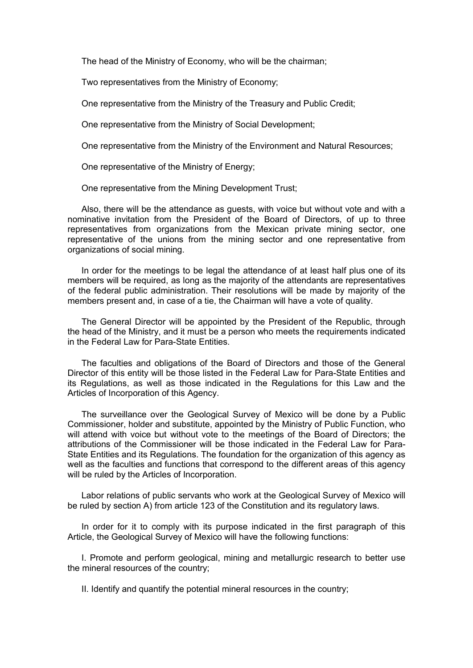The head of the Ministry of Economy, who will be the chairman;

Two representatives from the Ministry of Economy;

One representative from the Ministry of the Treasury and Public Credit;

One representative from the Ministry of Social Development;

One representative from the Ministry of the Environment and Natural Resources;

One representative of the Ministry of Energy;

One representative from the Mining Development Trust;

Also, there will be the attendance as guests, with voice but without vote and with a nominative invitation from the President of the Board of Directors, of up to three representatives from organizations from the Mexican private mining sector, one representative of the unions from the mining sector and one representative from organizations of social mining.

In order for the meetings to be legal the attendance of at least half plus one of its members will be required, as long as the majority of the attendants are representatives of the federal public administration. Their resolutions will be made by majority of the members present and, in case of a tie, the Chairman will have a vote of quality.

The General Director will be appointed by the President of the Republic, through the head of the Ministry, and it must be a person who meets the requirements indicated in the Federal Law for Para-State Entities.

The faculties and obligations of the Board of Directors and those of the General Director of this entity will be those listed in the Federal Law for Para-State Entities and its Regulations, as well as those indicated in the Regulations for this Law and the Articles of Incorporation of this Agency.

The surveillance over the Geological Survey of Mexico will be done by a Public Commissioner, holder and substitute, appointed by the Ministry of Public Function, who will attend with voice but without vote to the meetings of the Board of Directors; the attributions of the Commissioner will be those indicated in the Federal Law for Para-State Entities and its Regulations. The foundation for the organization of this agency as well as the faculties and functions that correspond to the different areas of this agency will be ruled by the Articles of Incorporation.

Labor relations of public servants who work at the Geological Survey of Mexico will be ruled by section A) from article 123 of the Constitution and its regulatory laws.

In order for it to comply with its purpose indicated in the first paragraph of this Article, the Geological Survey of Mexico will have the following functions:

I. Promote and perform geological, mining and metallurgic research to better use the mineral resources of the country;

II. Identify and quantify the potential mineral resources in the country;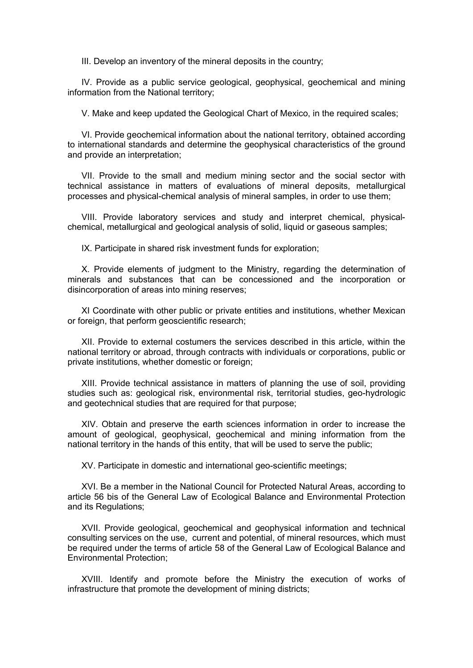III. Develop an inventory of the mineral deposits in the country;

IV. Provide as a public service geological, geophysical, geochemical and mining information from the National territory;

V. Make and keep updated the Geological Chart of Mexico, in the required scales;

VI. Provide geochemical information about the national territory, obtained according to international standards and determine the geophysical characteristics of the ground and provide an interpretation;

VII. Provide to the small and medium mining sector and the social sector with technical assistance in matters of evaluations of mineral deposits, metallurgical processes and physical-chemical analysis of mineral samples, in order to use them;

VIII. Provide laboratory services and study and interpret chemical, physicalchemical, metallurgical and geological analysis of solid, liquid or gaseous samples;

IX. Participate in shared risk investment funds for exploration;

X. Provide elements of judgment to the Ministry, regarding the determination of minerals and substances that can be concessioned and the incorporation or disincorporation of areas into mining reserves;

XI Coordinate with other public or private entities and institutions, whether Mexican or foreign, that perform geoscientific research;

XII. Provide to external costumers the services described in this article, within the national territory or abroad, through contracts with individuals or corporations, public or private institutions, whether domestic or foreign;

XIII. Provide technical assistance in matters of planning the use of soil, providing studies such as: geological risk, environmental risk, territorial studies, geo-hydrologic and geotechnical studies that are required for that purpose;

XIV. Obtain and preserve the earth sciences information in order to increase the amount of geological, geophysical, geochemical and mining information from the national territory in the hands of this entity, that will be used to serve the public;

XV. Participate in domestic and international geo-scientific meetings;

XVI. Be a member in the National Council for Protected Natural Areas, according to article 56 bis of the General Law of Ecological Balance and Environmental Protection and its Regulations;

XVII. Provide geological, geochemical and geophysical information and technical consulting services on the use, current and potential, of mineral resources, which must be required under the terms of article 58 of the General Law of Ecological Balance and Environmental Protection;

XVIII. Identify and promote before the Ministry the execution of works of infrastructure that promote the development of mining districts;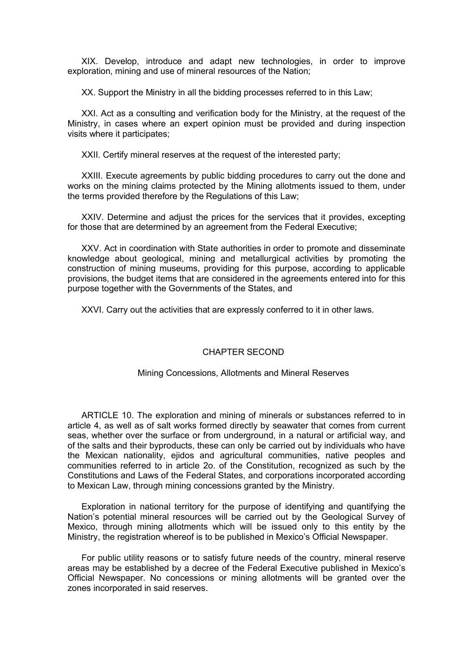XIX. Develop, introduce and adapt new technologies, in order to improve exploration, mining and use of mineral resources of the Nation;

XX. Support the Ministry in all the bidding processes referred to in this Law;

XXI. Act as a consulting and verification body for the Ministry, at the request of the Ministry, in cases where an expert opinion must be provided and during inspection visits where it participates;

XXII. Certify mineral reserves at the request of the interested party;

XXIII. Execute agreements by public bidding procedures to carry out the done and works on the mining claims protected by the Mining allotments issued to them, under the terms provided therefore by the Regulations of this Law;

XXIV. Determine and adjust the prices for the services that it provides, excepting for those that are determined by an agreement from the Federal Executive;

XXV. Act in coordination with State authorities in order to promote and disseminate knowledge about geological, mining and metallurgical activities by promoting the construction of mining museums, providing for this purpose, according to applicable provisions, the budget items that are considered in the agreements entered into for this purpose together with the Governments of the States, and

XXVI. Carry out the activities that are expressly conferred to it in other laws.

## CHAPTER SECOND

## Mining Concessions, Allotments and Mineral Reserves

ARTICLE 10. The exploration and mining of minerals or substances referred to in article 4, as well as of salt works formed directly by seawater that comes from current seas, whether over the surface or from underground, in a natural or artificial way, and of the salts and their byproducts, these can only be carried out by individuals who have the Mexican nationality, ejidos and agricultural communities, native peoples and communities referred to in article 2o. of the Constitution, recognized as such by the Constitutions and Laws of the Federal States, and corporations incorporated according to Mexican Law, through mining concessions granted by the Ministry.

Exploration in national territory for the purpose of identifying and quantifying the Nation's potential mineral resources will be carried out by the Geological Survey of Mexico, through mining allotments which will be issued only to this entity by the Ministry, the registration whereof is to be published in Mexico's Official Newspaper.

For public utility reasons or to satisfy future needs of the country, mineral reserve areas may be established by a decree of the Federal Executive published in Mexico's Official Newspaper. No concessions or mining allotments will be granted over the zones incorporated in said reserves.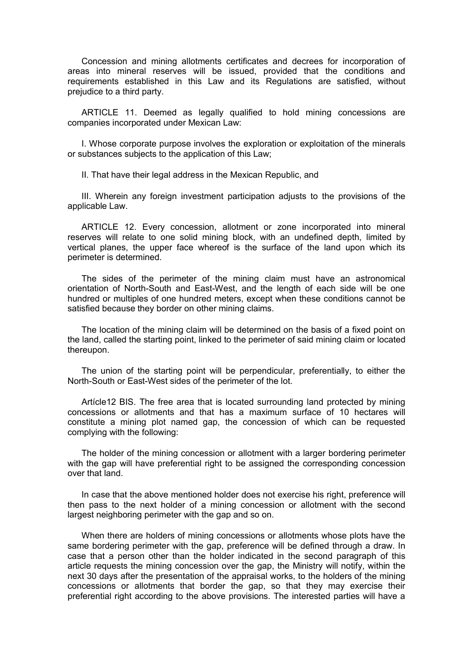Concession and mining allotments certificates and decrees for incorporation of areas into mineral reserves will be issued, provided that the conditions and requirements established in this Law and its Regulations are satisfied, without prejudice to a third party.

ARTICLE 11. Deemed as legally qualified to hold mining concessions are companies incorporated under Mexican Law:

I. Whose corporate purpose involves the exploration or exploitation of the minerals or substances subjects to the application of this Law;

II. That have their legal address in the Mexican Republic, and

III. Wherein any foreign investment participation adjusts to the provisions of the applicable Law.

ARTICLE 12. Every concession, allotment or zone incorporated into mineral reserves will relate to one solid mining block, with an undefined depth, limited by vertical planes, the upper face whereof is the surface of the land upon which its perimeter is determined.

The sides of the perimeter of the mining claim must have an astronomical orientation of North-South and East-West, and the length of each side will be one hundred or multiples of one hundred meters, except when these conditions cannot be satisfied because they border on other mining claims.

The location of the mining claim will be determined on the basis of a fixed point on the land, called the starting point, linked to the perimeter of said mining claim or located thereupon.

The union of the starting point will be perpendicular, preferentially, to either the North-South or East-West sides of the perimeter of the lot.

Artícle12 BIS. The free area that is located surrounding land protected by mining concessions or allotments and that has a maximum surface of 10 hectares will constitute a mining plot named gap, the concession of which can be requested complying with the following:

The holder of the mining concession or allotment with a larger bordering perimeter with the gap will have preferential right to be assigned the corresponding concession over that land.

In case that the above mentioned holder does not exercise his right, preference will then pass to the next holder of a mining concession or allotment with the second largest neighboring perimeter with the gap and so on.

When there are holders of mining concessions or allotments whose plots have the same bordering perimeter with the gap, preference will be defined through a draw. In case that a person other than the holder indicated in the second paragraph of this article requests the mining concession over the gap, the Ministry will notify, within the next 30 days after the presentation of the appraisal works, to the holders of the mining concessions or allotments that border the gap, so that they may exercise their preferential right according to the above provisions. The interested parties will have a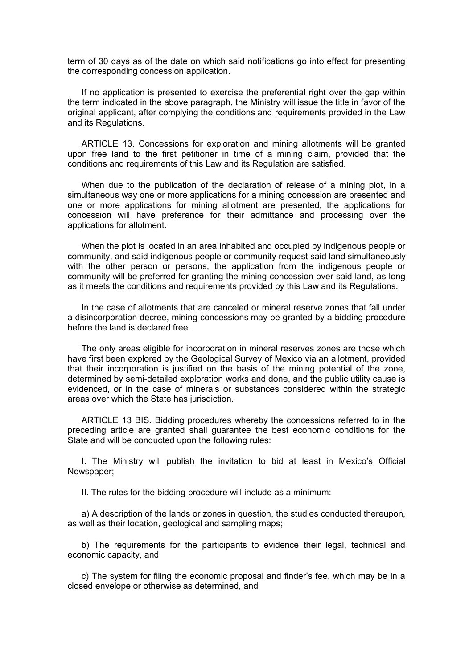term of 30 days as of the date on which said notifications go into effect for presenting the corresponding concession application.

If no application is presented to exercise the preferential right over the gap within the term indicated in the above paragraph, the Ministry will issue the title in favor of the original applicant, after complying the conditions and requirements provided in the Law and its Regulations.

ARTICLE 13. Concessions for exploration and mining allotments will be granted upon free land to the first petitioner in time of a mining claim, provided that the conditions and requirements of this Law and its Regulation are satisfied.

When due to the publication of the declaration of release of a mining plot, in a simultaneous way one or more applications for a mining concession are presented and one or more applications for mining allotment are presented, the applications for concession will have preference for their admittance and processing over the applications for allotment.

When the plot is located in an area inhabited and occupied by indigenous people or community, and said indigenous people or community request said land simultaneously with the other person or persons, the application from the indigenous people or community will be preferred for granting the mining concession over said land, as long as it meets the conditions and requirements provided by this Law and its Regulations.

In the case of allotments that are canceled or mineral reserve zones that fall under a disincorporation decree, mining concessions may be granted by a bidding procedure before the land is declared free.

The only areas eligible for incorporation in mineral reserves zones are those which have first been explored by the Geological Survey of Mexico via an allotment, provided that their incorporation is justified on the basis of the mining potential of the zone, determined by semi-detailed exploration works and done, and the public utility cause is evidenced, or in the case of minerals or substances considered within the strategic areas over which the State has jurisdiction.

ARTICLE 13 BIS. Bidding procedures whereby the concessions referred to in the preceding article are granted shall guarantee the best economic conditions for the State and will be conducted upon the following rules:

I. The Ministry will publish the invitation to bid at least in Mexico's Official Newspaper;

II. The rules for the bidding procedure will include as a minimum:

a) A description of the lands or zones in question, the studies conducted thereupon, as well as their location, geological and sampling maps;

b) The requirements for the participants to evidence their legal, technical and economic capacity, and

c) The system for filing the economic proposal and finder's fee, which may be in a closed envelope or otherwise as determined, and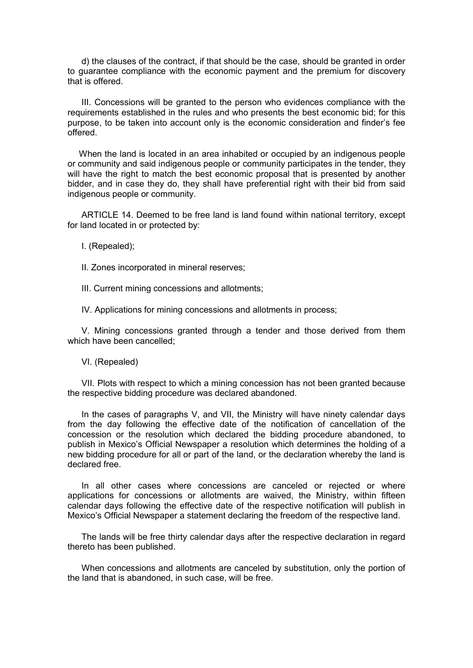d) the clauses of the contract, if that should be the case, should be granted in order to guarantee compliance with the economic payment and the premium for discovery that is offered.

III. Concessions will be granted to the person who evidences compliance with the requirements established in the rules and who presents the best economic bid; for this purpose, to be taken into account only is the economic consideration and finder's fee offered.

When the land is located in an area inhabited or occupied by an indigenous people or community and said indigenous people or community participates in the tender, they will have the right to match the best economic proposal that is presented by another bidder, and in case they do, they shall have preferential right with their bid from said indigenous people or community.

ARTICLE 14. Deemed to be free land is land found within national territory, except for land located in or protected by:

I. (Repealed);

II. Zones incorporated in mineral reserves;

III. Current mining concessions and allotments;

IV. Applications for mining concessions and allotments in process;

V. Mining concessions granted through a tender and those derived from them which have been cancelled;

VI. (Repealed)

VII. Plots with respect to which a mining concession has not been granted because the respective bidding procedure was declared abandoned.

In the cases of paragraphs V, and VII, the Ministry will have ninety calendar days from the day following the effective date of the notification of cancellation of the concession or the resolution which declared the bidding procedure abandoned, to publish in Mexico's Official Newspaper a resolution which determines the holding of a new bidding procedure for all or part of the land, or the declaration whereby the land is declared free.

In all other cases where concessions are canceled or rejected or where applications for concessions or allotments are waived, the Ministry, within fifteen calendar days following the effective date of the respective notification will publish in Mexico's Official Newspaper a statement declaring the freedom of the respective land.

The lands will be free thirty calendar days after the respective declaration in regard thereto has been published.

When concessions and allotments are canceled by substitution, only the portion of the land that is abandoned, in such case, will be free.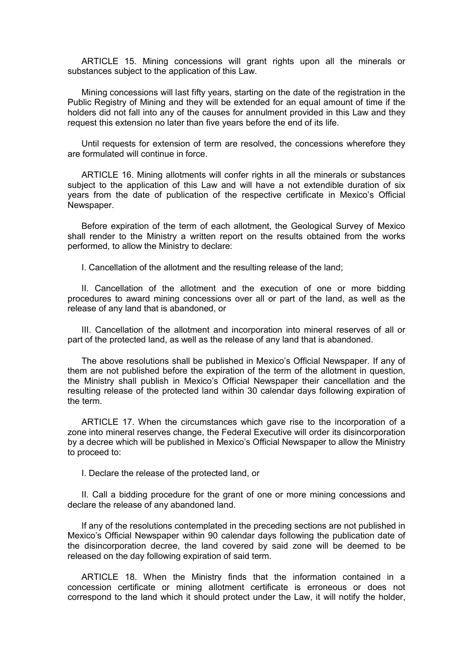ARTICLE 15. Mining concessions will grant rights upon all the minerals or substances subject to the application of this Law.

Mining concessions will last fifty years, starting on the date of the registration in the Public Registry of Mining and they will be extended for an equal amount of time if the holders did not fall into any of the causes for annulment provided in this Law and they request this extension no later than five years before the end of its life.

Until requests for extension of term are resolved, the concessions wherefore they are formulated will continue in force.

ARTICLE 16. Mining allotments will confer rights in all the minerals or substances subject to the application of this Law and will have a not extendible duration of six years from the date of publication of the respective certificate in Mexico's Official Newspaper.

Before expiration of the term of each allotment, the Geological Survey of Mexico shall render to the Ministry a written report on the results obtained from the works performed, to allow the Ministry to declare:

I. Cancellation of the allotment and the resulting release of the land;

II. Cancellation of the allotment and the execution of one or more bidding procedures to award mining concessions over all or part of the land, as well as the release of any land that is abandoned, or

III. Cancellation of the allotment and incorporation into mineral reserves of all or part of the protected land, as well as the release of any land that is abandoned.

The above resolutions shall be published in Mexico's Official Newspaper. If any of them are not published before the expiration of the term of the allotment in question, the Ministry shall publish in Mexico's Official Newspaper their cancellation and the resulting release of the protected land within 30 calendar days following expiration of the term.

ARTICLE 17. When the circumstances which gave rise to the incorporation of a zone into mineral reserves change, the Federal Executive will order its disincorporation by a decree which will be published in Mexico's Official Newspaper to allow the Ministry to proceed to:

I. Declare the release of the protected land, or

II. Call a bidding procedure for the grant of one or more mining concessions and declare the release of any abandoned land.

If any of the resolutions contemplated in the preceding sections are not published in Mexico's Official Newspaper within 90 calendar days following the publication date of the disincorporation decree, the land covered by said zone will be deemed to be released on the day following expiration of said term.

ARTICLE 18. When the Ministry finds that the information contained in a concession certificate or mining allotment certificate is erroneous or does not correspond to the land which it should protect under the Law, it will notify the holder,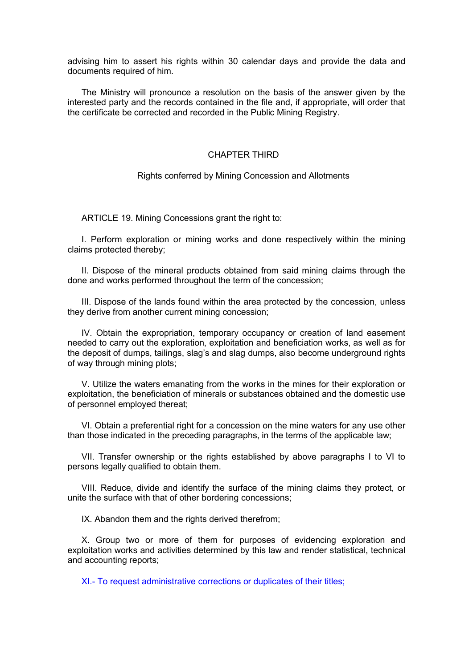advising him to assert his rights within 30 calendar days and provide the data and documents required of him.

The Ministry will pronounce a resolution on the basis of the answer given by the interested party and the records contained in the file and, if appropriate, will order that the certificate be corrected and recorded in the Public Mining Registry.

## CHAPTER THIRD

## Rights conferred by Mining Concession and Allotments

ARTICLE 19. Mining Concessions grant the right to:

I. Perform exploration or mining works and done respectively within the mining claims protected thereby;

II. Dispose of the mineral products obtained from said mining claims through the done and works performed throughout the term of the concession;

III. Dispose of the lands found within the area protected by the concession, unless they derive from another current mining concession;

IV. Obtain the expropriation, temporary occupancy or creation of land easement needed to carry out the exploration, exploitation and beneficiation works, as well as for the deposit of dumps, tailings, slag's and slag dumps, also become underground rights of way through mining plots;

V. Utilize the waters emanating from the works in the mines for their exploration or exploitation, the beneficiation of minerals or substances obtained and the domestic use of personnel employed thereat;

VI. Obtain a preferential right for a concession on the mine waters for any use other than those indicated in the preceding paragraphs, in the terms of the applicable law;

VII. Transfer ownership or the rights established by above paragraphs I to VI to persons legally qualified to obtain them.

VIII. Reduce, divide and identify the surface of the mining claims they protect, or unite the surface with that of other bordering concessions;

IX. Abandon them and the rights derived therefrom:

X. Group two or more of them for purposes of evidencing exploration and exploitation works and activities determined by this law and render statistical, technical and accounting reports;

XI.- To request administrative corrections or duplicates of their titles;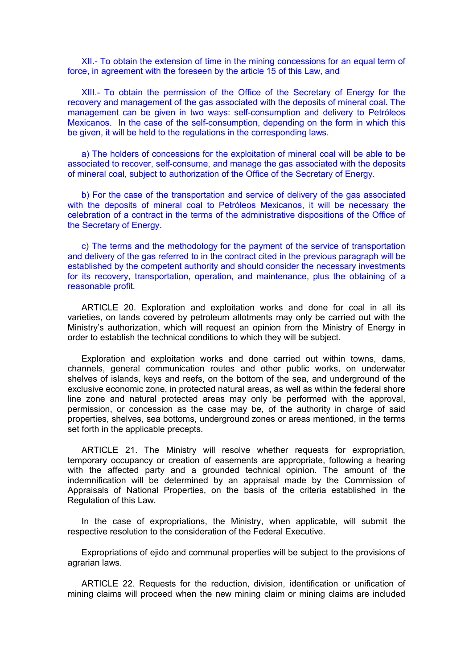XII.- To obtain the extension of time in the mining concessions for an equal term of force, in agreement with the foreseen by the article 15 of this Law, and

XIII.- To obtain the permission of the Office of the Secretary of Energy for the recovery and management of the gas associated with the deposits of mineral coal. The management can be given in two ways: self-consumption and delivery to Petróleos Mexicanos. In the case of the self-consumption, depending on the form in which this be given, it will be held to the regulations in the corresponding laws.

a) The holders of concessions for the exploitation of mineral coal will be able to be associated to recover, self-consume, and manage the gas associated with the deposits of mineral coal, subject to authorization of the Office of the Secretary of Energy.

b) For the case of the transportation and service of delivery of the gas associated with the deposits of mineral coal to Petróleos Mexicanos, it will be necessary the celebration of a contract in the terms of the administrative dispositions of the Office of the Secretary of Energy.

c) The terms and the methodology for the payment of the service of transportation and delivery of the gas referred to in the contract cited in the previous paragraph will be established by the competent authority and should consider the necessary investments for its recovery, transportation, operation, and maintenance, plus the obtaining of a reasonable profit.

ARTICLE 20. Exploration and exploitation works and done for coal in all its varieties, on lands covered by petroleum allotments may only be carried out with the Ministry's authorization, which will request an opinion from the Ministry of Energy in order to establish the technical conditions to which they will be subject.

Exploration and exploitation works and done carried out within towns, dams, channels, general communication routes and other public works, on underwater shelves of islands, keys and reefs, on the bottom of the sea, and underground of the exclusive economic zone, in protected natural areas, as well as within the federal shore line zone and natural protected areas may only be performed with the approval, permission, or concession as the case may be, of the authority in charge of said properties, shelves, sea bottoms, underground zones or areas mentioned, in the terms set forth in the applicable precepts.

ARTICLE 21. The Ministry will resolve whether requests for expropriation, temporary occupancy or creation of easements are appropriate, following a hearing with the affected party and a grounded technical opinion. The amount of the indemnification will be determined by an appraisal made by the Commission of Appraisals of National Properties, on the basis of the criteria established in the Regulation of this Law.

In the case of expropriations, the Ministry, when applicable, will submit the respective resolution to the consideration of the Federal Executive.

Expropriations of ejido and communal properties will be subject to the provisions of agrarian laws.

ARTICLE 22. Requests for the reduction, division, identification or unification of mining claims will proceed when the new mining claim or mining claims are included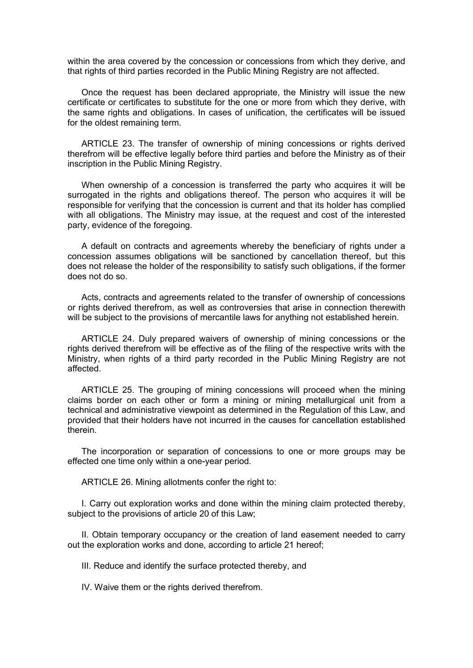within the area covered by the concession or concessions from which they derive, and that rights of third parties recorded in the Public Mining Registry are not affected.

Once the request has been declared appropriate, the Ministry will issue the new certificate or certificates to substitute for the one or more from which they derive, with the same rights and obligations. In cases of unification, the certificates will be issued for the oldest remaining term.

ARTICLE 23. The transfer of ownership of mining concessions or rights derived therefrom will be effective legally before third parties and before the Ministry as of their inscription in the Public Mining Registry.

When ownership of a concession is transferred the party who acquires it will be surrogated in the rights and obligations thereof. The person who acquires it will be responsible for verifying that the concession is current and that its holder has complied with all obligations. The Ministry may issue, at the request and cost of the interested party, evidence of the foregoing.

A default on contracts and agreements whereby the beneficiary of rights under a concession assumes obligations will be sanctioned by cancellation thereof, but this does not release the holder of the responsibility to satisfy such obligations, if the former does not do so.

Acts, contracts and agreements related to the transfer of ownership of concessions or rights derived therefrom, as well as controversies that arise in connection therewith will be subject to the provisions of mercantile laws for anything not established herein.

ARTICLE 24. Duly prepared waivers of ownership of mining concessions or the rights derived therefrom will be effective as of the filing of the respective writs with the Ministry, when rights of a third party recorded in the Public Mining Registry are not affected.

ARTICLE 25. The grouping of mining concessions will proceed when the mining claims border on each other or form a mining or mining metallurgical unit from a technical and administrative viewpoint as determined in the Regulation of this Law, and provided that their holders have not incurred in the causes for cancellation established therein.

The incorporation or separation of concessions to one or more groups may be effected one time only within a one-year period.

ARTICLE 26. Mining allotments confer the right to:

I. Carry out exploration works and done within the mining claim protected thereby, subject to the provisions of article 20 of this Law;

II. Obtain temporary occupancy or the creation of land easement needed to carry out the exploration works and done, according to article 21 hereof;

III. Reduce and identify the surface protected thereby, and

IV. Waive them or the rights derived therefrom.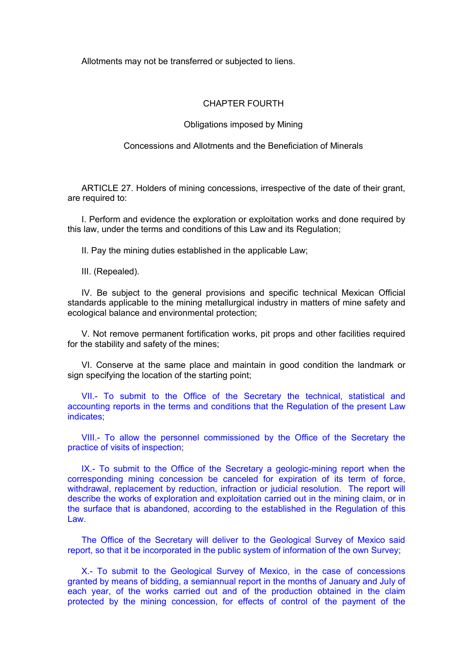Allotments may not be transferred or subjected to liens.

## CHAPTER FOURTH

### Obligations imposed by Mining

Concessions and Allotments and the Beneficiation of Minerals

ARTICLE 27. Holders of mining concessions, irrespective of the date of their grant, are required to:

I. Perform and evidence the exploration or exploitation works and done required by this law, under the terms and conditions of this Law and its Regulation;

II. Pay the mining duties established in the applicable Law;

III. (Repealed).

IV. Be subject to the general provisions and specific technical Mexican Official standards applicable to the mining metallurgical industry in matters of mine safety and ecological balance and environmental protection;

V. Not remove permanent fortification works, pit props and other facilities required for the stability and safety of the mines;

VI. Conserve at the same place and maintain in good condition the landmark or sign specifying the location of the starting point;

VII.- To submit to the Office of the Secretary the technical, statistical and accounting reports in the terms and conditions that the Regulation of the present Law indicates;

VIII.- To allow the personnel commissioned by the Office of the Secretary the practice of visits of inspection;

IX.- To submit to the Office of the Secretary a geologic-mining report when the corresponding mining concession be canceled for expiration of its term of force, withdrawal, replacement by reduction, infraction or judicial resolution. The report will describe the works of exploration and exploitation carried out in the mining claim, or in the surface that is abandoned, according to the established in the Regulation of this Law.

The Office of the Secretary will deliver to the Geological Survey of Mexico said report, so that it be incorporated in the public system of information of the own Survey;

X.- To submit to the Geological Survey of Mexico, in the case of concessions granted by means of bidding, a semiannual report in the months of January and July of each year, of the works carried out and of the production obtained in the claim protected by the mining concession, for effects of control of the payment of the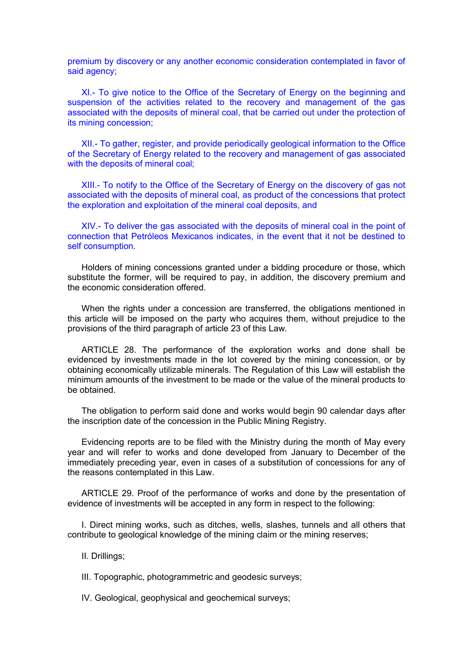premium by discovery or any another economic consideration contemplated in favor of said agency;

XI.- To give notice to the Office of the Secretary of Energy on the beginning and suspension of the activities related to the recovery and management of the gas associated with the deposits of mineral coal, that be carried out under the protection of its mining concession;

XII.- To gather, register, and provide periodically geological information to the Office of the Secretary of Energy related to the recovery and management of gas associated with the deposits of mineral coal:

XIII.- To notify to the Office of the Secretary of Energy on the discovery of gas not associated with the deposits of mineral coal, as product of the concessions that protect the exploration and exploitation of the mineral coal deposits, and

XIV.- To deliver the gas associated with the deposits of mineral coal in the point of connection that Petróleos Mexicanos indicates, in the event that it not be destined to self consumption.

Holders of mining concessions granted under a bidding procedure or those, which substitute the former, will be required to pay, in addition, the discovery premium and the economic consideration offered.

When the rights under a concession are transferred, the obligations mentioned in this article will be imposed on the party who acquires them, without prejudice to the provisions of the third paragraph of article 23 of this Law.

ARTICLE 28. The performance of the exploration works and done shall be evidenced by investments made in the lot covered by the mining concession, or by obtaining economically utilizable minerals. The Regulation of this Law will establish the minimum amounts of the investment to be made or the value of the mineral products to be obtained.

The obligation to perform said done and works would begin 90 calendar days after the inscription date of the concession in the Public Mining Registry.

Evidencing reports are to be filed with the Ministry during the month of May every year and will refer to works and done developed from January to December of the immediately preceding year, even in cases of a substitution of concessions for any of the reasons contemplated in this Law.

ARTICLE 29. Proof of the performance of works and done by the presentation of evidence of investments will be accepted in any form in respect to the following:

I. Direct mining works, such as ditches, wells, slashes, tunnels and all others that contribute to geological knowledge of the mining claim or the mining reserves;

II. Drillings;

III. Topographic, photogrammetric and geodesic surveys;

IV. Geological, geophysical and geochemical surveys;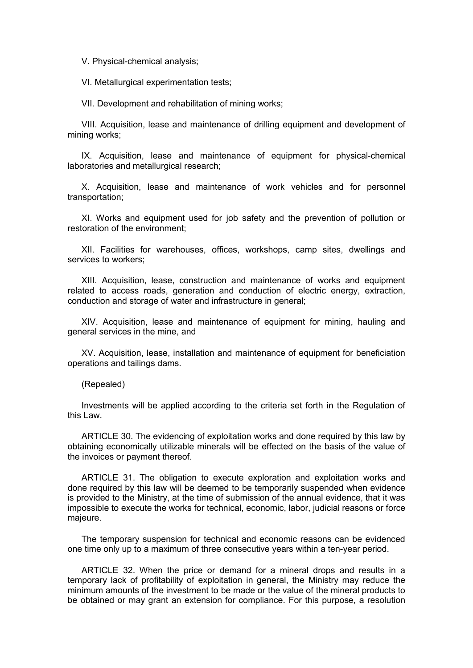V. Physical-chemical analysis;

VI. Metallurgical experimentation tests;

VII. Development and rehabilitation of mining works;

VIII. Acquisition, lease and maintenance of drilling equipment and development of mining works;

IX. Acquisition, lease and maintenance of equipment for physical-chemical laboratories and metallurgical research;

X. Acquisition, lease and maintenance of work vehicles and for personnel transportation;

XI. Works and equipment used for job safety and the prevention of pollution or restoration of the environment;

XII. Facilities for warehouses, offices, workshops, camp sites, dwellings and services to workers;

XIII. Acquisition, lease, construction and maintenance of works and equipment related to access roads, generation and conduction of electric energy, extraction, conduction and storage of water and infrastructure in general;

XIV. Acquisition, lease and maintenance of equipment for mining, hauling and general services in the mine, and

XV. Acquisition, lease, installation and maintenance of equipment for beneficiation operations and tailings dams.

(Repealed)

Investments will be applied according to the criteria set forth in the Regulation of this Law.

ARTICLE 30. The evidencing of exploitation works and done required by this law by obtaining economically utilizable minerals will be effected on the basis of the value of the invoices or payment thereof.

ARTICLE 31. The obligation to execute exploration and exploitation works and done required by this law will be deemed to be temporarily suspended when evidence is provided to the Ministry, at the time of submission of the annual evidence, that it was impossible to execute the works for technical, economic, labor, judicial reasons or force majeure.

The temporary suspension for technical and economic reasons can be evidenced one time only up to a maximum of three consecutive years within a ten-year period.

ARTICLE 32. When the price or demand for a mineral drops and results in a temporary lack of profitability of exploitation in general, the Ministry may reduce the minimum amounts of the investment to be made or the value of the mineral products to be obtained or may grant an extension for compliance. For this purpose, a resolution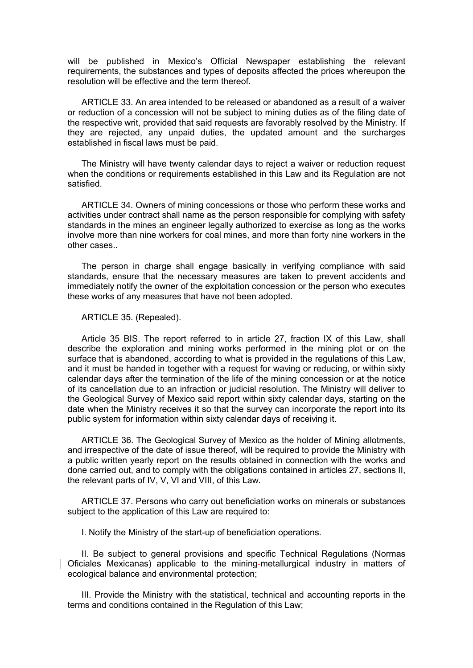will be published in Mexico's Official Newspaper establishing the relevant requirements, the substances and types of deposits affected the prices whereupon the resolution will be effective and the term thereof.

ARTICLE 33. An area intended to be released or abandoned as a result of a waiver or reduction of a concession will not be subject to mining duties as of the filing date of the respective writ, provided that said requests are favorably resolved by the Ministry. If they are rejected, any unpaid duties, the updated amount and the surcharges established in fiscal laws must be paid.

The Ministry will have twenty calendar days to reject a waiver or reduction request when the conditions or requirements established in this Law and its Regulation are not satisfied.

ARTICLE 34. Owners of mining concessions or those who perform these works and activities under contract shall name as the person responsible for complying with safety standards in the mines an engineer legally authorized to exercise as long as the works involve more than nine workers for coal mines, and more than forty nine workers in the other cases..

The person in charge shall engage basically in verifying compliance with said standards, ensure that the necessary measures are taken to prevent accidents and immediately notify the owner of the exploitation concession or the person who executes these works of any measures that have not been adopted.

#### ARTICLE 35. (Repealed).

Article 35 BIS. The report referred to in article 27, fraction IX of this Law, shall describe the exploration and mining works performed in the mining plot or on the surface that is abandoned, according to what is provided in the regulations of this Law, and it must be handed in together with a request for waving or reducing, or within sixty calendar days after the termination of the life of the mining concession or at the notice of its cancellation due to an infraction or judicial resolution. The Ministry will deliver to the Geological Survey of Mexico said report within sixty calendar days, starting on the date when the Ministry receives it so that the survey can incorporate the report into its public system for information within sixty calendar days of receiving it.

ARTICLE 36. The Geological Survey of Mexico as the holder of Mining allotments, and irrespective of the date of issue thereof, will be required to provide the Ministry with a public written yearly report on the results obtained in connection with the works and done carried out, and to comply with the obligations contained in articles 27, sections II, the relevant parts of IV, V, VI and VIII, of this Law.

ARTICLE 37. Persons who carry out beneficiation works on minerals or substances subject to the application of this Law are required to:

I. Notify the Ministry of the start-up of beneficiation operations.

II. Be subject to general provisions and specific Technical Regulations (Normas Oficiales Mexicanas) applicable to the mining-metallurgical industry in matters of ecological balance and environmental protection;

III. Provide the Ministry with the statistical, technical and accounting reports in the terms and conditions contained in the Regulation of this Law;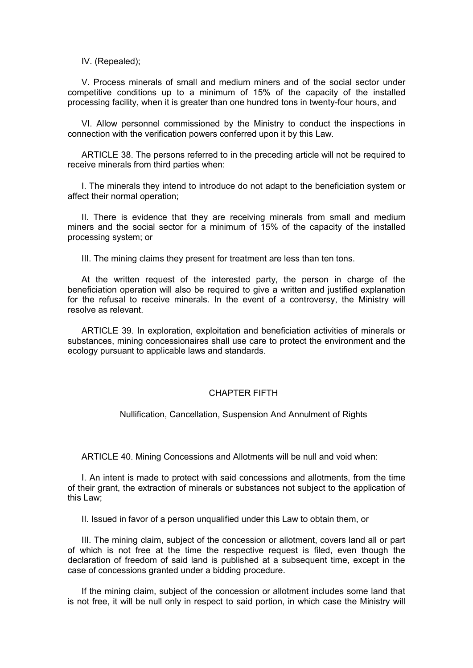IV. (Repealed);

V. Process minerals of small and medium miners and of the social sector under competitive conditions up to a minimum of 15% of the capacity of the installed processing facility, when it is greater than one hundred tons in twenty-four hours, and

VI. Allow personnel commissioned by the Ministry to conduct the inspections in connection with the verification powers conferred upon it by this Law.

ARTICLE 38. The persons referred to in the preceding article will not be required to receive minerals from third parties when:

I. The minerals they intend to introduce do not adapt to the beneficiation system or affect their normal operation;

II. There is evidence that they are receiving minerals from small and medium miners and the social sector for a minimum of 15% of the capacity of the installed processing system; or

III. The mining claims they present for treatment are less than ten tons.

At the written request of the interested party, the person in charge of the beneficiation operation will also be required to give a written and justified explanation for the refusal to receive minerals. In the event of a controversy, the Ministry will resolve as relevant.

ARTICLE 39. In exploration, exploitation and beneficiation activities of minerals or substances, mining concessionaires shall use care to protect the environment and the ecology pursuant to applicable laws and standards.

## CHAPTER FIFTH

Nullification, Cancellation, Suspension And Annulment of Rights

ARTICLE 40. Mining Concessions and Allotments will be null and void when:

I. An intent is made to protect with said concessions and allotments, from the time of their grant, the extraction of minerals or substances not subject to the application of this Law;

II. Issued in favor of a person unqualified under this Law to obtain them, or

III. The mining claim, subject of the concession or allotment, covers land all or part of which is not free at the time the respective request is filed, even though the declaration of freedom of said land is published at a subsequent time, except in the case of concessions granted under a bidding procedure.

If the mining claim, subject of the concession or allotment includes some land that is not free, it will be null only in respect to said portion, in which case the Ministry will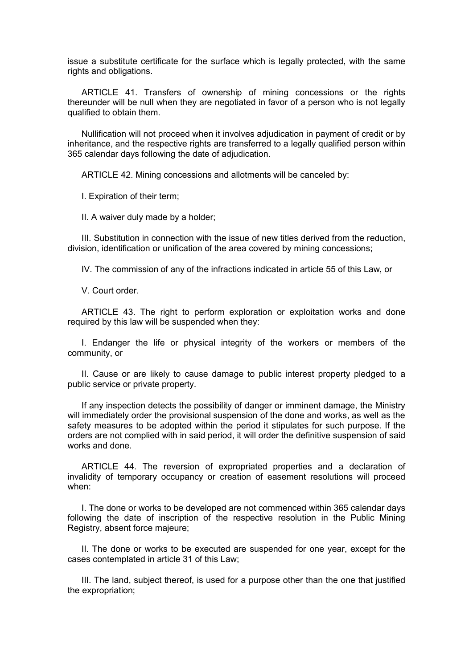issue a substitute certificate for the surface which is legally protected, with the same rights and obligations.

ARTICLE 41. Transfers of ownership of mining concessions or the rights thereunder will be null when they are negotiated in favor of a person who is not legally qualified to obtain them.

Nullification will not proceed when it involves adjudication in payment of credit or by inheritance, and the respective rights are transferred to a legally qualified person within 365 calendar days following the date of adjudication.

ARTICLE 42. Mining concessions and allotments will be canceled by:

I. Expiration of their term;

II. A waiver duly made by a holder;

III. Substitution in connection with the issue of new titles derived from the reduction, division, identification or unification of the area covered by mining concessions;

IV. The commission of any of the infractions indicated in article 55 of this Law, or

V. Court order.

ARTICLE 43. The right to perform exploration or exploitation works and done required by this law will be suspended when they:

I. Endanger the life or physical integrity of the workers or members of the community, or

II. Cause or are likely to cause damage to public interest property pledged to a public service or private property.

If any inspection detects the possibility of danger or imminent damage, the Ministry will immediately order the provisional suspension of the done and works, as well as the safety measures to be adopted within the period it stipulates for such purpose. If the orders are not complied with in said period, it will order the definitive suspension of said works and done.

ARTICLE 44. The reversion of expropriated properties and a declaration of invalidity of temporary occupancy or creation of easement resolutions will proceed when:

I. The done or works to be developed are not commenced within 365 calendar days following the date of inscription of the respective resolution in the Public Mining Registry, absent force majeure;

II. The done or works to be executed are suspended for one year, except for the cases contemplated in article 31 of this Law;

III. The land, subject thereof, is used for a purpose other than the one that justified the expropriation;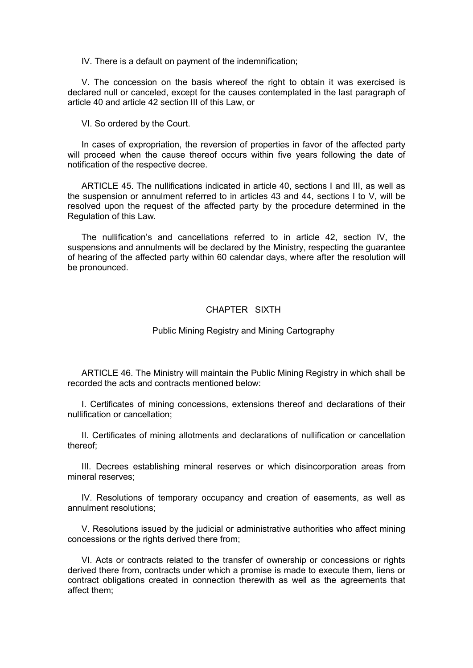IV. There is a default on payment of the indemnification;

V. The concession on the basis whereof the right to obtain it was exercised is declared null or canceled, except for the causes contemplated in the last paragraph of article 40 and article 42 section III of this Law, or

VI. So ordered by the Court.

In cases of expropriation, the reversion of properties in favor of the affected party will proceed when the cause thereof occurs within five years following the date of notification of the respective decree.

ARTICLE 45. The nullifications indicated in article 40, sections I and III, as well as the suspension or annulment referred to in articles 43 and 44, sections I to V, will be resolved upon the request of the affected party by the procedure determined in the Regulation of this Law.

The nullification's and cancellations referred to in article 42, section IV, the suspensions and annulments will be declared by the Ministry, respecting the guarantee of hearing of the affected party within 60 calendar days, where after the resolution will be pronounced.

# CHAPTER SIXTH

### Public Mining Registry and Mining Cartography

ARTICLE 46. The Ministry will maintain the Public Mining Registry in which shall be recorded the acts and contracts mentioned below:

I. Certificates of mining concessions, extensions thereof and declarations of their nullification or cancellation;

II. Certificates of mining allotments and declarations of nullification or cancellation thereof;

III. Decrees establishing mineral reserves or which disincorporation areas from mineral reserves;

IV. Resolutions of temporary occupancy and creation of easements, as well as annulment resolutions;

V. Resolutions issued by the judicial or administrative authorities who affect mining concessions or the rights derived there from;

VI. Acts or contracts related to the transfer of ownership or concessions or rights derived there from, contracts under which a promise is made to execute them, liens or contract obligations created in connection therewith as well as the agreements that affect them;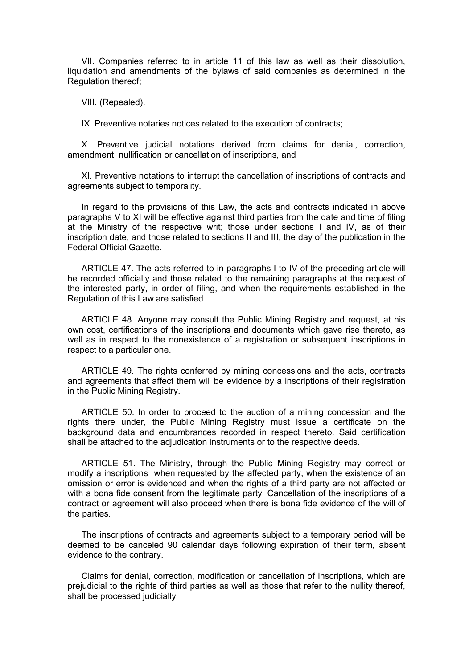VII. Companies referred to in article 11 of this law as well as their dissolution, liquidation and amendments of the bylaws of said companies as determined in the Regulation thereof;

VIII. (Repealed).

IX. Preventive notaries notices related to the execution of contracts;

X. Preventive judicial notations derived from claims for denial, correction, amendment, nullification or cancellation of inscriptions, and

XI. Preventive notations to interrupt the cancellation of inscriptions of contracts and agreements subject to temporality.

In regard to the provisions of this Law, the acts and contracts indicated in above paragraphs V to XI will be effective against third parties from the date and time of filing at the Ministry of the respective writ; those under sections I and IV, as of their inscription date, and those related to sections II and III, the day of the publication in the Federal Official Gazette.

ARTICLE 47. The acts referred to in paragraphs I to IV of the preceding article will be recorded officially and those related to the remaining paragraphs at the request of the interested party, in order of filing, and when the requirements established in the Regulation of this Law are satisfied.

ARTICLE 48. Anyone may consult the Public Mining Registry and request, at his own cost, certifications of the inscriptions and documents which gave rise thereto, as well as in respect to the nonexistence of a registration or subsequent inscriptions in respect to a particular one.

ARTICLE 49. The rights conferred by mining concessions and the acts, contracts and agreements that affect them will be evidence by a inscriptions of their registration in the Public Mining Registry.

ARTICLE 50. In order to proceed to the auction of a mining concession and the rights there under, the Public Mining Registry must issue a certificate on the background data and encumbrances recorded in respect thereto. Said certification shall be attached to the adjudication instruments or to the respective deeds.

ARTICLE 51. The Ministry, through the Public Mining Registry may correct or modify a inscriptions when requested by the affected party, when the existence of an omission or error is evidenced and when the rights of a third party are not affected or with a bona fide consent from the legitimate party. Cancellation of the inscriptions of a contract or agreement will also proceed when there is bona fide evidence of the will of the parties.

The inscriptions of contracts and agreements subject to a temporary period will be deemed to be canceled 90 calendar days following expiration of their term, absent evidence to the contrary.

Claims for denial, correction, modification or cancellation of inscriptions, which are prejudicial to the rights of third parties as well as those that refer to the nullity thereof, shall be processed judicially.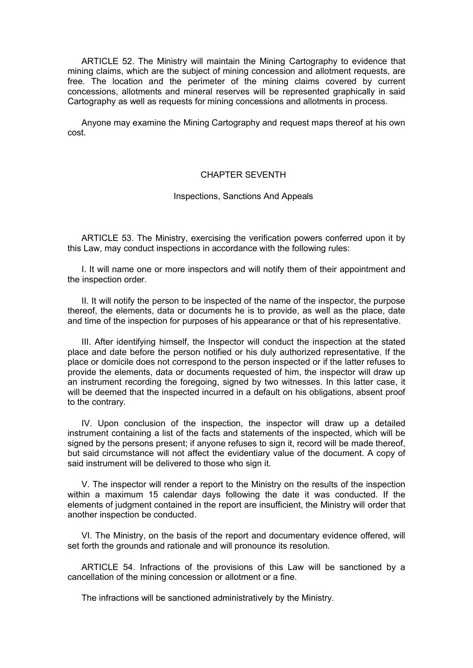ARTICLE 52. The Ministry will maintain the Mining Cartography to evidence that mining claims, which are the subject of mining concession and allotment requests, are free. The location and the perimeter of the mining claims covered by current concessions, allotments and mineral reserves will be represented graphically in said Cartography as well as requests for mining concessions and allotments in process.

Anyone may examine the Mining Cartography and request maps thereof at his own cost.

## CHAPTER SEVENTH

### Inspections, Sanctions And Appeals

ARTICLE 53. The Ministry, exercising the verification powers conferred upon it by this Law, may conduct inspections in accordance with the following rules:

I. It will name one or more inspectors and will notify them of their appointment and the inspection order.

II. It will notify the person to be inspected of the name of the inspector, the purpose thereof, the elements, data or documents he is to provide, as well as the place, date and time of the inspection for purposes of his appearance or that of his representative.

III. After identifying himself, the Inspector will conduct the inspection at the stated place and date before the person notified or his duly authorized representative. If the place or domicile does not correspond to the person inspected or if the latter refuses to provide the elements, data or documents requested of him, the inspector will draw up an instrument recording the foregoing, signed by two witnesses. In this latter case, it will be deemed that the inspected incurred in a default on his obligations, absent proof to the contrary.

IV. Upon conclusion of the inspection, the inspector will draw up a detailed instrument containing a list of the facts and statements of the inspected, which will be signed by the persons present; if anyone refuses to sign it, record will be made thereof, but said circumstance will not affect the evidentiary value of the document. A copy of said instrument will be delivered to those who sign it.

V. The inspector will render a report to the Ministry on the results of the inspection within a maximum 15 calendar days following the date it was conducted. If the elements of judgment contained in the report are insufficient, the Ministry will order that another inspection be conducted.

VI. The Ministry, on the basis of the report and documentary evidence offered, will set forth the grounds and rationale and will pronounce its resolution.

ARTICLE 54. Infractions of the provisions of this Law will be sanctioned by a cancellation of the mining concession or allotment or a fine.

The infractions will be sanctioned administratively by the Ministry.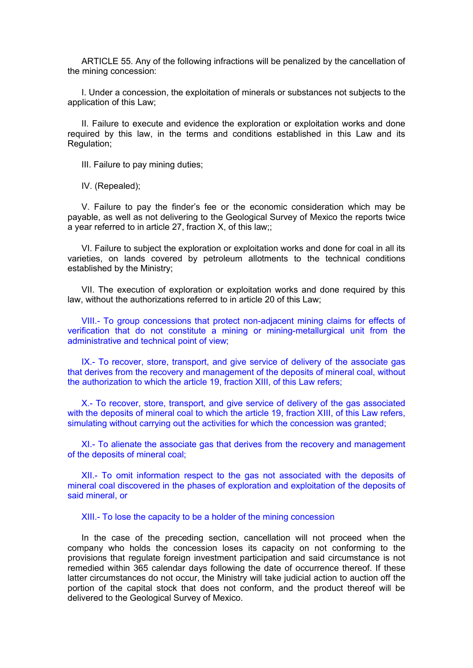ARTICLE 55. Any of the following infractions will be penalized by the cancellation of the mining concession:

I. Under a concession, the exploitation of minerals or substances not subjects to the application of this Law;

II. Failure to execute and evidence the exploration or exploitation works and done required by this law, in the terms and conditions established in this Law and its Regulation;

III. Failure to pay mining duties;

IV. (Repealed);

V. Failure to pay the finder's fee or the economic consideration which may be payable, as well as not delivering to the Geological Survey of Mexico the reports twice a year referred to in article 27, fraction X, of this law;;

VI. Failure to subject the exploration or exploitation works and done for coal in all its varieties, on lands covered by petroleum allotments to the technical conditions established by the Ministry;

VII. The execution of exploration or exploitation works and done required by this law, without the authorizations referred to in article 20 of this Law;

VIII.- To group concessions that protect non-adjacent mining claims for effects of verification that do not constitute a mining or mining-metallurgical unit from the administrative and technical point of view;

IX.- To recover, store, transport, and give service of delivery of the associate gas that derives from the recovery and management of the deposits of mineral coal, without the authorization to which the article 19, fraction XIII, of this Law refers;

X.- To recover, store, transport, and give service of delivery of the gas associated with the deposits of mineral coal to which the article 19, fraction XIII, of this Law refers, simulating without carrying out the activities for which the concession was granted;

XI.- To alienate the associate gas that derives from the recovery and management of the deposits of mineral coal;

XII.- To omit information respect to the gas not associated with the deposits of mineral coal discovered in the phases of exploration and exploitation of the deposits of said mineral, or

XIII.- To lose the capacity to be a holder of the mining concession

In the case of the preceding section, cancellation will not proceed when the company who holds the concession loses its capacity on not conforming to the provisions that regulate foreign investment participation and said circumstance is not remedied within 365 calendar days following the date of occurrence thereof. If these latter circumstances do not occur, the Ministry will take judicial action to auction off the portion of the capital stock that does not conform, and the product thereof will be delivered to the Geological Survey of Mexico.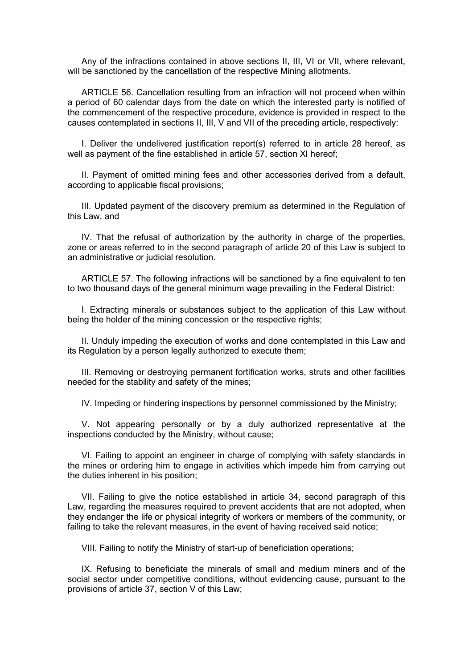Any of the infractions contained in above sections II, III, VI or VII, where relevant, will be sanctioned by the cancellation of the respective Mining allotments.

ARTICLE 56. Cancellation resulting from an infraction will not proceed when within a period of 60 calendar days from the date on which the interested party is notified of the commencement of the respective procedure, evidence is provided in respect to the causes contemplated in sections II, III, V and VII of the preceding article, respectively:

I. Deliver the undelivered justification report(s) referred to in article 28 hereof, as well as payment of the fine established in article 57, section XI hereof;

II. Payment of omitted mining fees and other accessories derived from a default, according to applicable fiscal provisions;

III. Updated payment of the discovery premium as determined in the Regulation of this Law, and

IV. That the refusal of authorization by the authority in charge of the properties, zone or areas referred to in the second paragraph of article 20 of this Law is subject to an administrative or judicial resolution.

ARTICLE 57. The following infractions will be sanctioned by a fine equivalent to ten to two thousand days of the general minimum wage prevailing in the Federal District:

I. Extracting minerals or substances subject to the application of this Law without being the holder of the mining concession or the respective rights;

II. Unduly impeding the execution of works and done contemplated in this Law and its Regulation by a person legally authorized to execute them;

III. Removing or destroying permanent fortification works, struts and other facilities needed for the stability and safety of the mines;

IV. Impeding or hindering inspections by personnel commissioned by the Ministry;

V. Not appearing personally or by a duly authorized representative at the inspections conducted by the Ministry, without cause;

VI. Failing to appoint an engineer in charge of complying with safety standards in the mines or ordering him to engage in activities which impede him from carrying out the duties inherent in his position;

VII. Failing to give the notice established in article 34, second paragraph of this Law, regarding the measures required to prevent accidents that are not adopted, when they endanger the life or physical integrity of workers or members of the community, or failing to take the relevant measures, in the event of having received said notice;

VIII. Failing to notify the Ministry of start-up of beneficiation operations;

IX. Refusing to beneficiate the minerals of small and medium miners and of the social sector under competitive conditions, without evidencing cause, pursuant to the provisions of article 37, section V of this Law;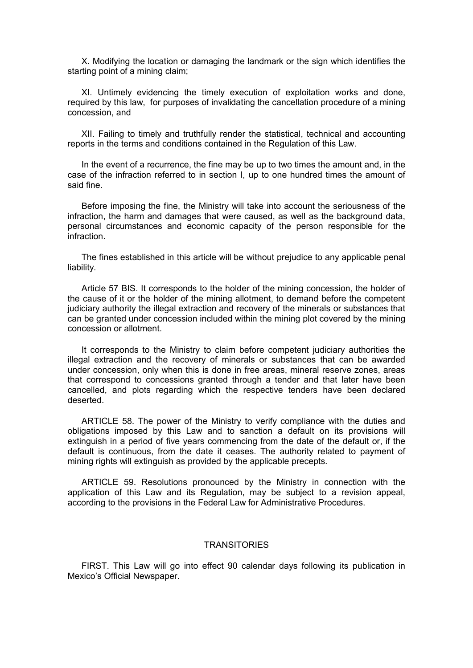X. Modifying the location or damaging the landmark or the sign which identifies the starting point of a mining claim;

XI. Untimely evidencing the timely execution of exploitation works and done, required by this law, for purposes of invalidating the cancellation procedure of a mining concession, and

XII. Failing to timely and truthfully render the statistical, technical and accounting reports in the terms and conditions contained in the Regulation of this Law.

In the event of a recurrence, the fine may be up to two times the amount and, in the case of the infraction referred to in section I, up to one hundred times the amount of said fine.

Before imposing the fine, the Ministry will take into account the seriousness of the infraction, the harm and damages that were caused, as well as the background data, personal circumstances and economic capacity of the person responsible for the infraction.

The fines established in this article will be without prejudice to any applicable penal liability.

Article 57 BIS. It corresponds to the holder of the mining concession, the holder of the cause of it or the holder of the mining allotment, to demand before the competent judiciary authority the illegal extraction and recovery of the minerals or substances that can be granted under concession included within the mining plot covered by the mining concession or allotment.

It corresponds to the Ministry to claim before competent judiciary authorities the illegal extraction and the recovery of minerals or substances that can be awarded under concession, only when this is done in free areas, mineral reserve zones, areas that correspond to concessions granted through a tender and that later have been cancelled, and plots regarding which the respective tenders have been declared deserted.

ARTICLE 58. The power of the Ministry to verify compliance with the duties and obligations imposed by this Law and to sanction a default on its provisions will extinguish in a period of five years commencing from the date of the default or, if the default is continuous, from the date it ceases. The authority related to payment of mining rights will extinguish as provided by the applicable precepts.

ARTICLE 59. Resolutions pronounced by the Ministry in connection with the application of this Law and its Regulation, may be subject to a revision appeal, according to the provisions in the Federal Law for Administrative Procedures.

### **TRANSITORIES**

FIRST. This Law will go into effect 90 calendar days following its publication in Mexico's Official Newspaper.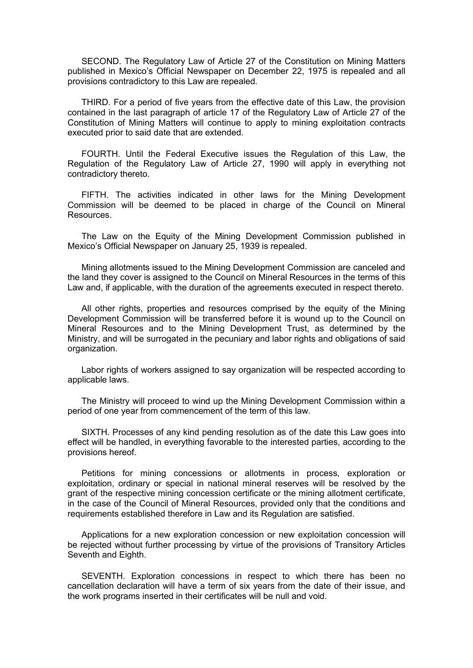SECOND. The Regulatory Law of Article 27 of the Constitution on Mining Matters published in Mexico's Official Newspaper on December 22, 1975 is repealed and all provisions contradictory to this Law are repealed.

THIRD. For a period of five years from the effective date of this Law, the provision contained in the last paragraph of article 17 of the Regulatory Law of Article 27 of the Constitution of Mining Matters will continue to apply to mining exploitation contracts executed prior to said date that are extended.

FOURTH. Until the Federal Executive issues the Regulation of this Law, the Regulation of the Regulatory Law of Article 27, 1990 will apply in everything not contradictory thereto.

FIFTH. The activities indicated in other laws for the Mining Development Commission will be deemed to be placed in charge of the Council on Mineral Resources.

The Law on the Equity of the Mining Development Commission published in Mexico's Official Newspaper on January 25, 1939 is repealed.

Mining allotments issued to the Mining Development Commission are canceled and the land they cover is assigned to the Council on Mineral Resources in the terms of this Law and, if applicable, with the duration of the agreements executed in respect thereto.

All other rights, properties and resources comprised by the equity of the Mining Development Commission will be transferred before it is wound up to the Council on Mineral Resources and to the Mining Development Trust, as determined by the Ministry, and will be surrogated in the pecuniary and labor rights and obligations of said organization.

Labor rights of workers assigned to say organization will be respected according to applicable laws.

The Ministry will proceed to wind up the Mining Development Commission within a period of one year from commencement of the term of this law.

SIXTH. Processes of any kind pending resolution as of the date this Law goes into effect will be handled, in everything favorable to the interested parties, according to the provisions hereof.

Petitions for mining concessions or allotments in process, exploration or exploitation, ordinary or special in national mineral reserves will be resolved by the grant of the respective mining concession certificate or the mining allotment certificate, in the case of the Council of Mineral Resources, provided only that the conditions and requirements established therefore in Law and its Regulation are satisfied.

Applications for a new exploration concession or new exploitation concession will be rejected without further processing by virtue of the provisions of Transitory Articles Seventh and Eighth.

SEVENTH. Exploration concessions in respect to which there has been no cancellation declaration will have a term of six years from the date of their issue, and the work programs inserted in their certificates will be null and void.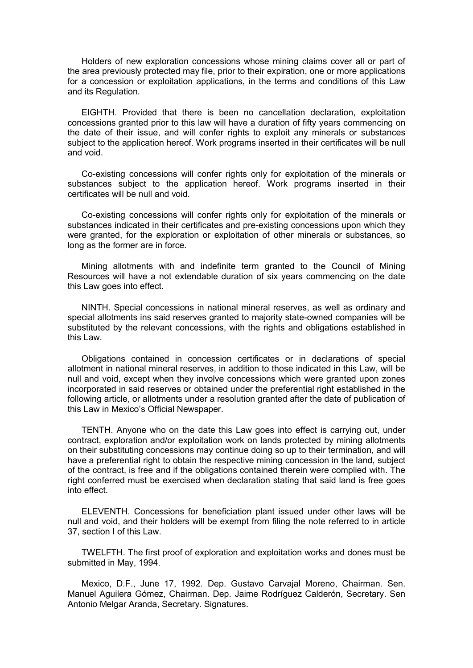Holders of new exploration concessions whose mining claims cover all or part of the area previously protected may file, prior to their expiration, one or more applications for a concession or exploitation applications, in the terms and conditions of this Law and its Regulation.

EIGHTH. Provided that there is been no cancellation declaration, exploitation concessions granted prior to this law will have a duration of fifty years commencing on the date of their issue, and will confer rights to exploit any minerals or substances subject to the application hereof. Work programs inserted in their certificates will be null and void.

Co-existing concessions will confer rights only for exploitation of the minerals or substances subject to the application hereof. Work programs inserted in their certificates will be null and void.

Co-existing concessions will confer rights only for exploitation of the minerals or substances indicated in their certificates and pre-existing concessions upon which they were granted, for the exploration or exploitation of other minerals or substances, so long as the former are in force.

Mining allotments with and indefinite term granted to the Council of Mining Resources will have a not extendable duration of six years commencing on the date this Law goes into effect.

NINTH. Special concessions in national mineral reserves, as well as ordinary and special allotments ins said reserves granted to majority state-owned companies will be substituted by the relevant concessions, with the rights and obligations established in this Law.

Obligations contained in concession certificates or in declarations of special allotment in national mineral reserves, in addition to those indicated in this Law, will be null and void, except when they involve concessions which were granted upon zones incorporated in said reserves or obtained under the preferential right established in the following article, or allotments under a resolution granted after the date of publication of this Law in Mexico's Official Newspaper.

TENTH. Anyone who on the date this Law goes into effect is carrying out, under contract, exploration and/or exploitation work on lands protected by mining allotments on their substituting concessions may continue doing so up to their termination, and will have a preferential right to obtain the respective mining concession in the land, subject of the contract, is free and if the obligations contained therein were complied with. The right conferred must be exercised when declaration stating that said land is free goes into effect.

ELEVENTH. Concessions for beneficiation plant issued under other laws will be null and void, and their holders will be exempt from filing the note referred to in article 37, section I of this Law.

TWELFTH. The first proof of exploration and exploitation works and dones must be submitted in May, 1994.

Mexico, D.F., June 17, 1992. Dep. Gustavo Carvajal Moreno, Chairman. Sen. Manuel Aguilera Gómez, Chairman. Dep. Jaime Rodríguez Calderón, Secretary. Sen Antonio Melgar Aranda, Secretary. Signatures.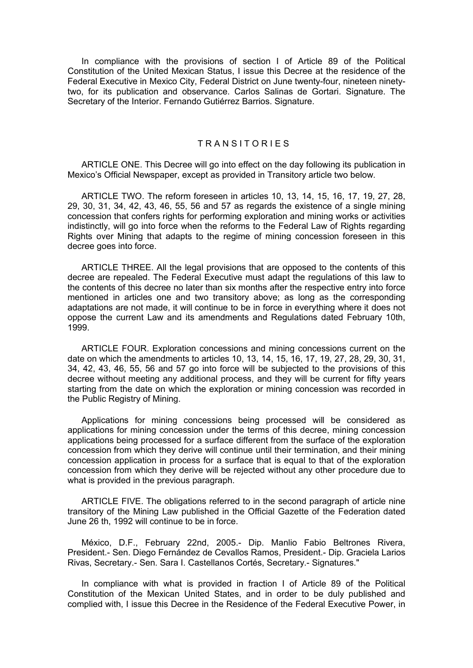In compliance with the provisions of section I of Article 89 of the Political Constitution of the United Mexican Status, I issue this Decree at the residence of the Federal Executive in Mexico City, Federal District on June twenty-four, nineteen ninetytwo, for its publication and observance. Carlos Salinas de Gortari. Signature. The Secretary of the Interior. Fernando Gutiérrez Barrios. Signature.

# TRANSITORIES

ARTICLE ONE. This Decree will go into effect on the day following its publication in Mexico's Official Newspaper, except as provided in Transitory article two below.

ARTICLE TWO. The reform foreseen in articles 10, 13, 14, 15, 16, 17, 19, 27, 28, 29, 30, 31, 34, 42, 43, 46, 55, 56 and 57 as regards the existence of a single mining concession that confers rights for performing exploration and mining works or activities indistinctly, will go into force when the reforms to the Federal Law of Rights regarding Rights over Mining that adapts to the regime of mining concession foreseen in this decree goes into force.

ARTICLE THREE. All the legal provisions that are opposed to the contents of this decree are repealed. The Federal Executive must adapt the regulations of this law to the contents of this decree no later than six months after the respective entry into force mentioned in articles one and two transitory above; as long as the corresponding adaptations are not made, it will continue to be in force in everything where it does not oppose the current Law and its amendments and Regulations dated February 10th, 1999.

ARTICLE FOUR. Exploration concessions and mining concessions current on the date on which the amendments to articles 10, 13, 14, 15, 16, 17, 19, 27, 28, 29, 30, 31, 34, 42, 43, 46, 55, 56 and 57 go into force will be subjected to the provisions of this decree without meeting any additional process, and they will be current for fifty years starting from the date on which the exploration or mining concession was recorded in the Public Registry of Mining.

Applications for mining concessions being processed will be considered as applications for mining concession under the terms of this decree, mining concession applications being processed for a surface different from the surface of the exploration concession from which they derive will continue until their termination, and their mining concession application in process for a surface that is equal to that of the exploration concession from which they derive will be rejected without any other procedure due to what is provided in the previous paragraph.

ARTICLE FIVE. The obligations referred to in the second paragraph of article nine transitory of the Mining Law published in the Official Gazette of the Federation dated June 26 th, 1992 will continue to be in force.

México, D.F., February 22nd, 2005.- Dip. Manlio Fabio Beltrones Rivera, President.- Sen. Diego Fernández de Cevallos Ramos, President.- Dip. Graciela Larios Rivas, Secretary.- Sen. Sara I. Castellanos Cortés, Secretary.- Signatures."

In compliance with what is provided in fraction I of Article 89 of the Political Constitution of the Mexican United States, and in order to be duly published and complied with, I issue this Decree in the Residence of the Federal Executive Power, in